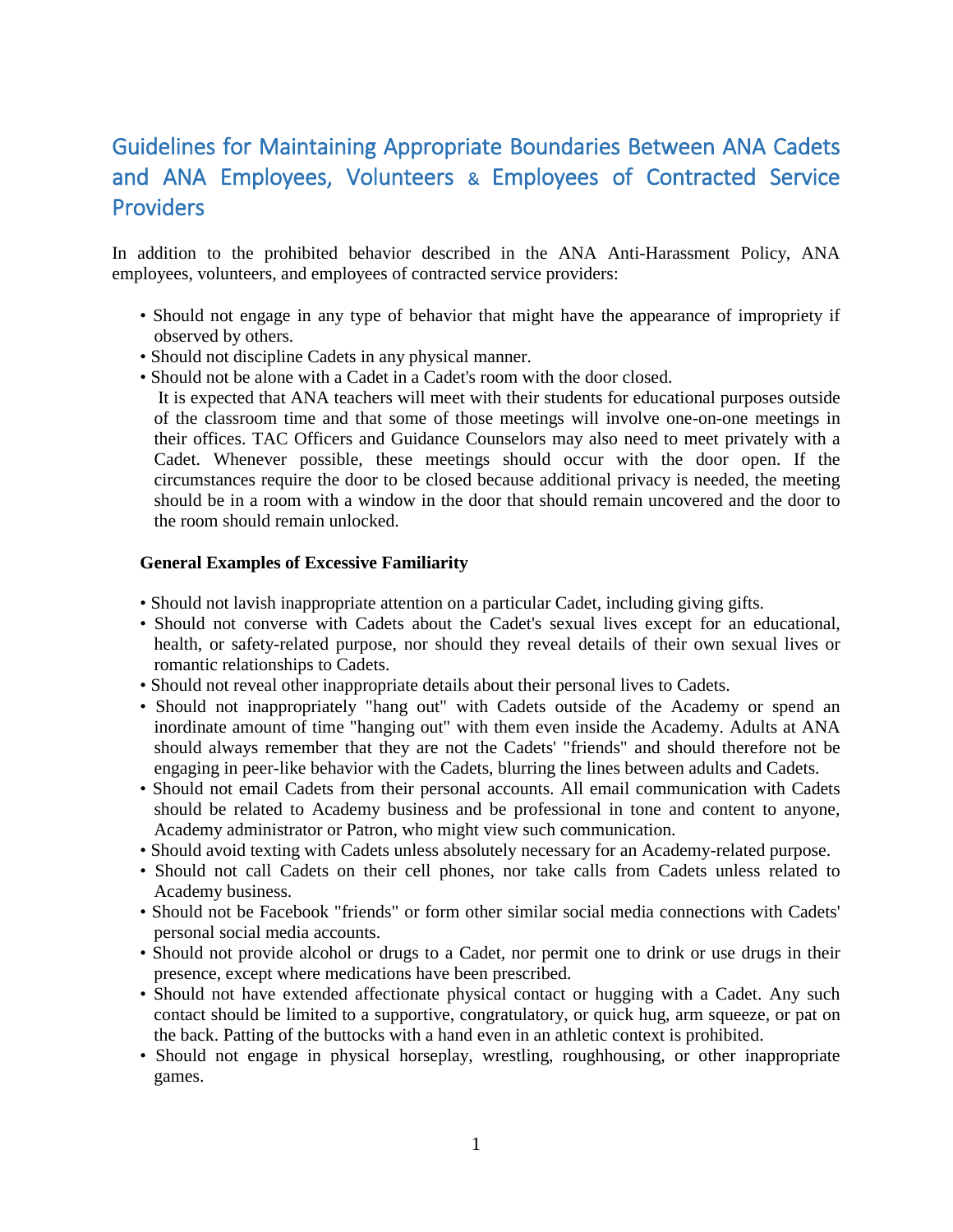## Guidelines for Maintaining Appropriate Boundaries Between ANA Cadets and ANA Employees, Volunteers & Employees of Contracted Service Providers

In addition to the prohibited behavior described in the ANA Anti-Harassment Policy, ANA employees, volunteers, and employees of contracted service providers:

- Should not engage in any type of behavior that might have the appearance of impropriety if observed by others.
- Should not discipline Cadets in any physical manner.
- Should not be alone with a Cadet in a Cadet's room with the door closed.

 It is expected that ANA teachers will meet with their students for educational purposes outside of the classroom time and that some of those meetings will involve one-on-one meetings in their offices. TAC Officers and Guidance Counselors may also need to meet privately with a Cadet. Whenever possible, these meetings should occur with the door open. If the circumstances require the door to be closed because additional privacy is needed, the meeting should be in a room with a window in the door that should remain uncovered and the door to the room should remain unlocked.

## **General Examples of Excessive Familiarity**

- Should not lavish inappropriate attention on a particular Cadet, including giving gifts.
- Should not converse with Cadets about the Cadet's sexual lives except for an educational, health, or safety-related purpose, nor should they reveal details of their own sexual lives or romantic relationships to Cadets.
- Should not reveal other inappropriate details about their personal lives to Cadets.
- Should not inappropriately "hang out" with Cadets outside of the Academy or spend an inordinate amount of time "hanging out" with them even inside the Academy. Adults at ANA should always remember that they are not the Cadets' "friends" and should therefore not be engaging in peer-like behavior with the Cadets, blurring the lines between adults and Cadets.
- Should not email Cadets from their personal accounts. All email communication with Cadets should be related to Academy business and be professional in tone and content to anyone, Academy administrator or Patron, who might view such communication.
- Should avoid texting with Cadets unless absolutely necessary for an Academy-related purpose.
- Should not call Cadets on their cell phones, nor take calls from Cadets unless related to Academy business.
- Should not be Facebook "friends" or form other similar social media connections with Cadets' personal social media accounts.
- Should not provide alcohol or drugs to a Cadet, nor permit one to drink or use drugs in their presence, except where medications have been prescribed.
- Should not have extended affectionate physical contact or hugging with a Cadet. Any such contact should be limited to a supportive, congratulatory, or quick hug, arm squeeze, or pat on the back. Patting of the buttocks with a hand even in an athletic context is prohibited.
- Should not engage in physical horseplay, wrestling, roughhousing, or other inappropriate games.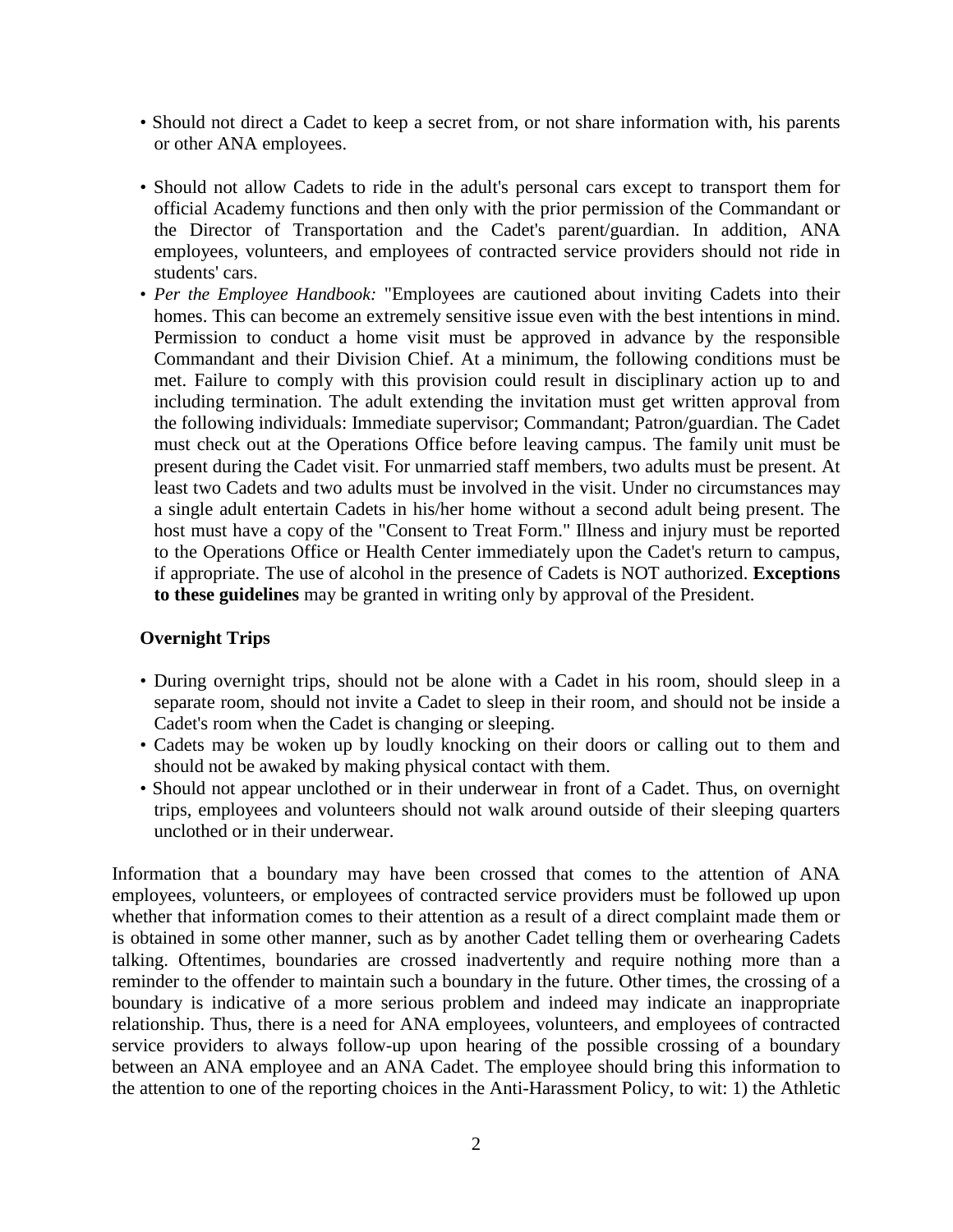- Should not direct a Cadet to keep a secret from, or not share information with, his parents or other ANA employees.
- Should not allow Cadets to ride in the adult's personal cars except to transport them for official Academy functions and then only with the prior permission of the Commandant or the Director of Transportation and the Cadet's parent/guardian. In addition, ANA employees, volunteers, and employees of contracted service providers should not ride in students' cars.
- *Per the Employee Handbook:* "Employees are cautioned about inviting Cadets into their homes. This can become an extremely sensitive issue even with the best intentions in mind. Permission to conduct a home visit must be approved in advance by the responsible Commandant and their Division Chief. At a minimum, the following conditions must be met. Failure to comply with this provision could result in disciplinary action up to and including termination. The adult extending the invitation must get written approval from the following individuals: Immediate supervisor; Commandant; Patron/guardian. The Cadet must check out at the Operations Office before leaving campus. The family unit must be present during the Cadet visit. For unmarried staff members, two adults must be present. At least two Cadets and two adults must be involved in the visit. Under no circumstances may a single adult entertain Cadets in his/her home without a second adult being present. The host must have a copy of the "Consent to Treat Form." Illness and injury must be reported to the Operations Office or Health Center immediately upon the Cadet's return to campus, if appropriate. The use of alcohol in the presence of Cadets is NOT authorized. **Exceptions to these guidelines** may be granted in writing only by approval of the President.

## **Overnight Trips**

- During overnight trips, should not be alone with a Cadet in his room, should sleep in a separate room, should not invite a Cadet to sleep in their room, and should not be inside a Cadet's room when the Cadet is changing or sleeping.
- Cadets may be woken up by loudly knocking on their doors or calling out to them and should not be awaked by making physical contact with them.
- Should not appear unclothed or in their underwear in front of a Cadet. Thus, on overnight trips, employees and volunteers should not walk around outside of their sleeping quarters unclothed or in their underwear.

Information that a boundary may have been crossed that comes to the attention of ANA employees, volunteers, or employees of contracted service providers must be followed up upon whether that information comes to their attention as a result of a direct complaint made them or is obtained in some other manner, such as by another Cadet telling them or overhearing Cadets talking. Oftentimes, boundaries are crossed inadvertently and require nothing more than a reminder to the offender to maintain such a boundary in the future. Other times, the crossing of a boundary is indicative of a more serious problem and indeed may indicate an inappropriate relationship. Thus, there is a need for ANA employees, volunteers, and employees of contracted service providers to always follow-up upon hearing of the possible crossing of a boundary between an ANA employee and an ANA Cadet. The employee should bring this information to the attention to one of the reporting choices in the Anti-Harassment Policy, to wit: 1) the Athletic